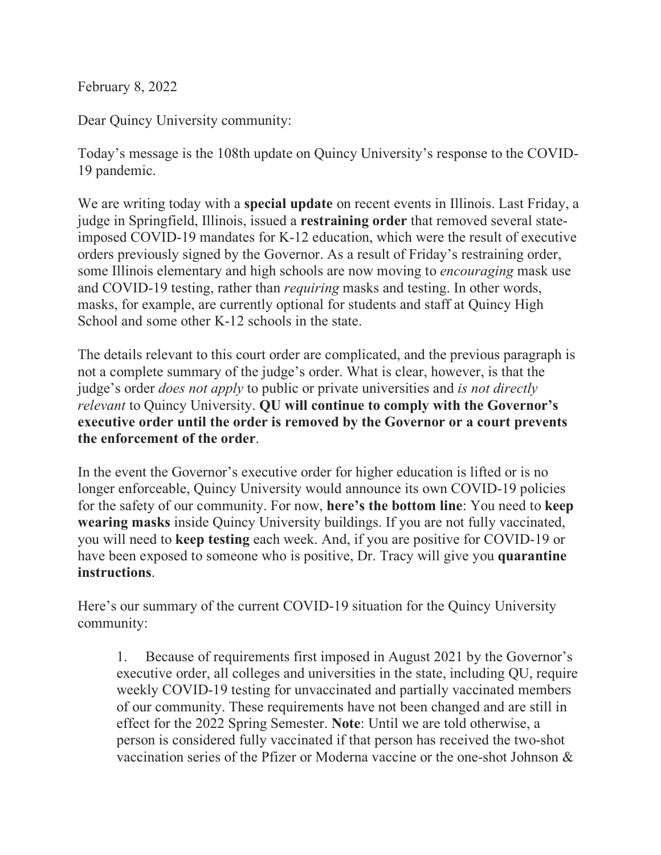February 8, 2022

Dear Quincy University community:

Today's message is the 108th update on Quincy University's response to the COVID-19 pandemic.

We are writing today with a **special update** on recent events in Illinois. Last Friday, a judge in Springfield, Illinois, issued a **restraining order** that removed several stateimposed COVID-19 mandates for K-12 education, which were the result of executive orders previously signed by the Governor. As a result of Friday's restraining order, some Illinois elementary and high schools are now moving to *encouraging* mask use and COVID-19 testing, rather than *requiring* masks and testing. In other words, masks, for example, are currently optional for students and staff at Quincy High School and some other K-12 schools in the state.

The details relevant to this court order are complicated, and the previous paragraph is not a complete summary of the judge's order. What is clear, however, is that the judge's order *does not apply* to public or private universities and *is not directly relevant* to Quincy University. **QU will continue to comply with the Governor's executive order until the order is removed by the Governor or a court prevents the enforcement of the order**.

In the event the Governor's executive order for higher education is lifted or is no longer enforceable, Quincy University would announce its own COVID-19 policies for the safety of our community. For now, **here's the bottom line**: You need to **keep wearing masks** inside Quincy University buildings. If you are not fully vaccinated, you will need to **keep testing** each week. And, if you are positive for COVID-19 or have been exposed to someone who is positive, Dr. Tracy will give you **quarantine instructions**.

Here's our summary of the current COVID-19 situation for the Quincy University community:

1. Because of requirements first imposed in August 2021 by the Governor's executive order, all colleges and universities in the state, including QU, require weekly COVID-19 testing for unvaccinated and partially vaccinated members of our community. These requirements have not been changed and are still in effect for the 2022 Spring Semester. **Note**: Until we are told otherwise, a person is considered fully vaccinated if that person has received the two-shot vaccination series of the Pfizer or Moderna vaccine or the one-shot Johnson &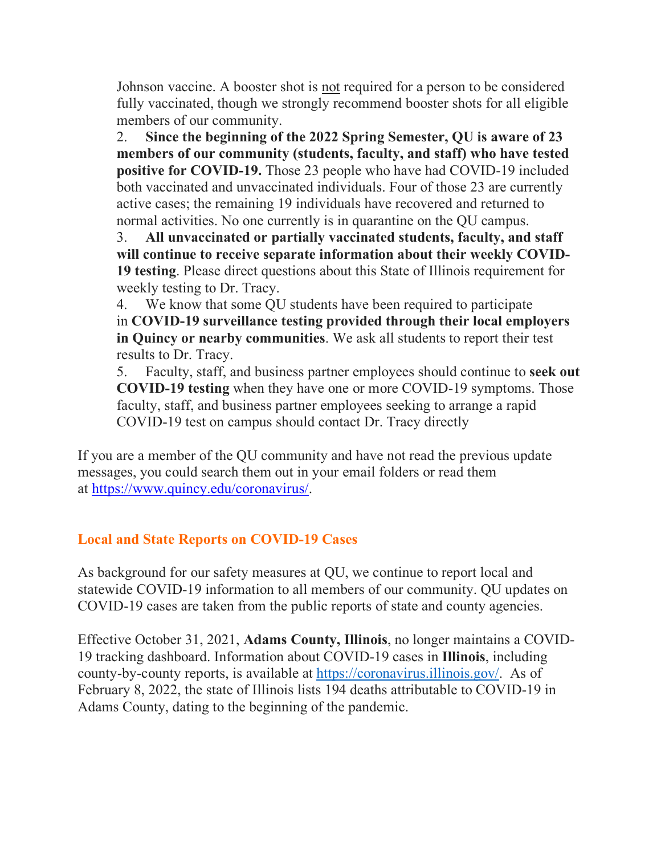Johnson vaccine. A booster shot is not required for a person to be considered fully vaccinated, though we strongly recommend booster shots for all eligible members of our community.

2. **Since the beginning of the 2022 Spring Semester, QU is aware of 23 members of our community (students, faculty, and staff) who have tested positive for COVID-19.** Those 23 people who have had COVID-19 included both vaccinated and unvaccinated individuals. Four of those 23 are currently active cases; the remaining 19 individuals have recovered and returned to normal activities. No one currently is in quarantine on the QU campus.

3. **All unvaccinated or partially vaccinated students, faculty, and staff will continue to receive separate information about their weekly COVID-19 testing**. Please direct questions about this State of Illinois requirement for weekly testing to Dr. Tracy.

4. We know that some QU students have been required to participate in **COVID-19 surveillance testing provided through their local employers in Quincy or nearby communities**. We ask all students to report their test results to Dr. Tracy.

5. Faculty, staff, and business partner employees should continue to **seek out COVID-19 testing** when they have one or more COVID-19 symptoms. Those faculty, staff, and business partner employees seeking to arrange a rapid COVID-19 test on campus should contact Dr. Tracy directly

If you are a member of the QU community and have not read the previous update messages, you could search them out in your email folders or read them at https://www.quincy.edu/coronavirus/.

## **Local and State Reports on COVID-19 Cases**

As background for our safety measures at QU, we continue to report local and statewide COVID-19 information to all members of our community. QU updates on COVID-19 cases are taken from the public reports of state and county agencies.

Effective October 31, 2021, **Adams County, Illinois**, no longer maintains a COVID-19 tracking dashboard. Information about COVID-19 cases in **Illinois**, including county-by-county reports, is available at https://coronavirus.illinois.gov/. As of February 8, 2022, the state of Illinois lists 194 deaths attributable to COVID-19 in Adams County, dating to the beginning of the pandemic.